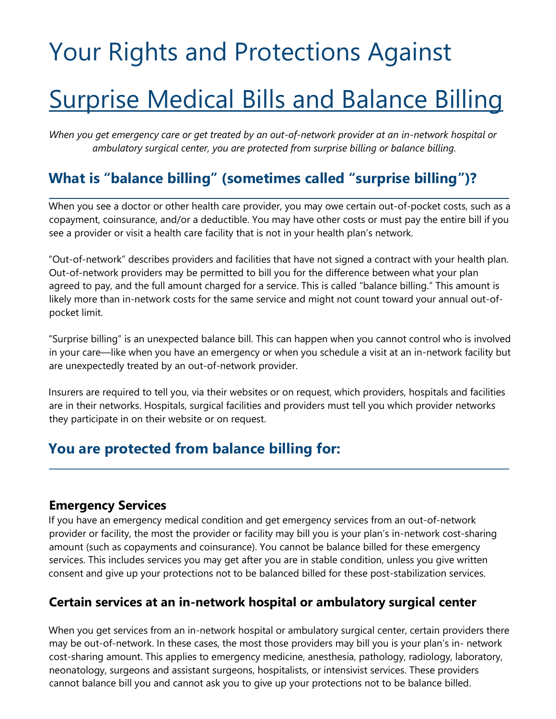# Your Rights and Protections Against

## Surprise Medical Bills and Balance Billing

*When you get emergency care or get treated by an out-of-network provider at an in-network hospital or ambulatory surgical center, you are protected from surprise billing or balance billing.* 

## **What is "balance billing" (sometimes called "surprise billing")?**

When you see a doctor or other health care provider, you may owe certain out-of-pocket costs, such as a copayment, coinsurance, and/or a deductible. You may have other costs or must pay the entire bill if you see a provider or visit a health care facility that is not in your health plan's network.

"Out-of-network" describes providers and facilities that have not signed a contract with your health plan. Out-of-network providers may be permitted to bill you for the difference between what your plan agreed to pay, and the full amount charged for a service. This is called "balance billing." This amount is likely more than in-network costs for the same service and might not count toward your annual out-ofpocket limit.

"Surprise billing" is an unexpected balance bill. This can happen when you cannot control who is involved in your care—like when you have an emergency or when you schedule a visit at an in-network facility but are unexpectedly treated by an out-of-network provider.

Insurers are required to tell you, via their websites or on request, which providers, hospitals and facilities are in their networks. Hospitals, surgical facilities and providers must tell you which provider networks they participate in on their website or on request.

## **You are protected from balance billing for:**

#### **Emergency Services**

If you have an emergency medical condition and get emergency services from an out-of-network provider or facility, the most the provider or facility may bill you is your plan's in-network cost-sharing amount (such as copayments and coinsurance). You cannot be balance billed for these emergency services. This includes services you may get after you are in stable condition, unless you give written consent and give up your protections not to be balanced billed for these post-stabilization services.

#### **Certain services at an in-network hospital or ambulatory surgical center**

When you get services from an in-network hospital or ambulatory surgical center, certain providers there may be out-of-network. In these cases, the most those providers may bill you is your plan's in- network cost-sharing amount. This applies to emergency medicine, anesthesia, pathology, radiology, laboratory, neonatology, surgeons and assistant surgeons, hospitalists, or intensivist services. These providers cannot balance bill you and cannot ask you to give up your protections not to be balance billed.